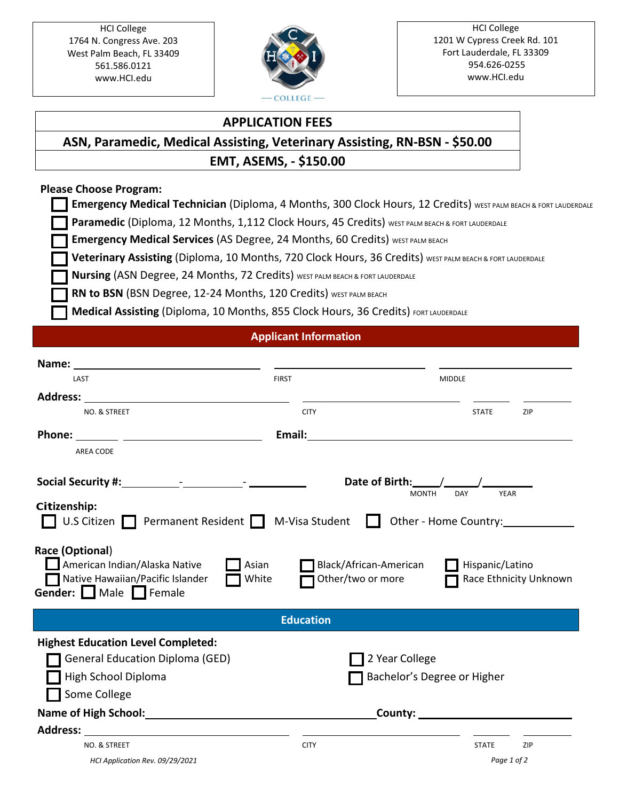HCI College 1764 N. Congress Ave. 203 West Palm Beach, FL 33409 561.586.0121 [www.HCI.edu](http://www.hci.edu/)



#### HCI College 1201 W Cypress Creek Rd. 101 Fort Lauderdale, FL 33309 954.626-0255 [www.HCI.edu](http://www.hci.edu/)

### **APPLICATION FEES**

# **ASN, Paramedic, Medical Assisting, Veterinary Assisting, RN-BSN - \$50.00 EMT, ASEMS, - \$150.00**

# **Please Choose Program:**

**Emergency Medical Technician** (Diploma, 4 Months, 300 Clock Hours, 12 Credits) WEST PALM BEACH & FORT LAUDERDALE

Paramedic (Diploma, 12 Months, 1,112 Clock Hours, 45 Credits) WEST PALM BEACH & FORT LAUDERDALE

**Emergency Medical Services** (AS Degree, 24 Months, 60 Credits) WEST PALM BEACH

**Veterinary Assisting (Diploma, 10 Months, 720 Clock Hours, 36 Credits) WEST PALM BEACH & FORT LAUDERDALE** 

**Nursing** (ASN Degree, 24 Months, 72 Credits) WEST PALM BEACH & FORT LAUDERDALE

RN to BSN (BSN Degree, 12-24 Months, 120 Credits) WEST PALM BEACH

**Medical Assisting (Diploma, 10 Months, 855 Clock Hours, 36 Credits) FORT LAUDERDALE** 

# **Applicant Information**

| Name:                                                                                                       |                                                               |                                          |                    |                        |
|-------------------------------------------------------------------------------------------------------------|---------------------------------------------------------------|------------------------------------------|--------------------|------------------------|
| LAST                                                                                                        | <b>FIRST</b>                                                  | <b>MIDDLE</b>                            |                    |                        |
|                                                                                                             |                                                               |                                          |                    |                        |
| NO. & STREET                                                                                                | <b>CITY</b>                                                   |                                          | <b>STATE</b>       | ZIP                    |
|                                                                                                             | Email:                                                        |                                          |                    |                        |
| <b>AREA CODE</b>                                                                                            |                                                               |                                          |                    |                        |
|                                                                                                             |                                                               | Date of Birth: \square\)<br><b>MONTH</b> | DAY<br><b>YEAR</b> |                        |
| Citizenship:                                                                                                |                                                               |                                          |                    |                        |
| U.S Citizen <b>Permanent Resident D</b> M-Visa Student                                                      |                                                               | Other - Home Country:                    |                    |                        |
| Race (Optional)<br>American Indian/Alaska Native<br>Native Hawaiian/Pacific Islander<br>Gender: Male Female | Asian<br>Black/African-American<br>Other/two or more<br>White |                                          | Hispanic/Latino    | Race Ethnicity Unknown |
|                                                                                                             | <b>Education</b>                                              |                                          |                    |                        |
| <b>Highest Education Level Completed:</b>                                                                   |                                                               |                                          |                    |                        |
| <b>General Education Diploma (GED)</b>                                                                      |                                                               | 2 Year College                           |                    |                        |
| High School Diploma                                                                                         |                                                               | Bachelor's Degree or Higher              |                    |                        |
| Some College                                                                                                |                                                               |                                          |                    |                        |
|                                                                                                             |                                                               |                                          |                    |                        |
|                                                                                                             |                                                               |                                          |                    |                        |
| NO. & STREET                                                                                                | <b>CITY</b>                                                   |                                          | <b>STATE</b>       | ZIP                    |
| HCI Application Rev. 09/29/2021                                                                             |                                                               |                                          | Page 1 of 2        |                        |